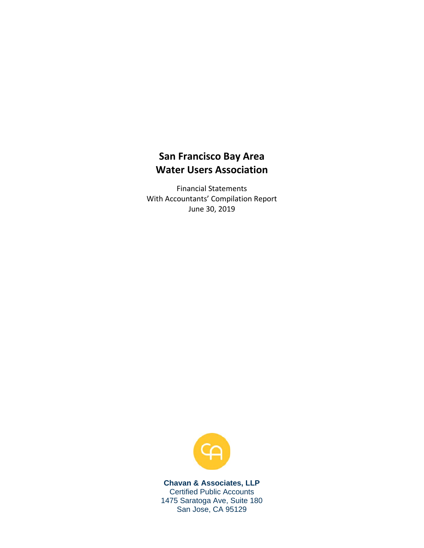## **San Francisco Bay Area Water Users Association**

Financial Statements With Accountants' Compilation Report June 30, 2019



**Chavan & Associates, LLP**  Certified Public Accounts 1475 Saratoga Ave, Suite 180 San Jose, CA 95129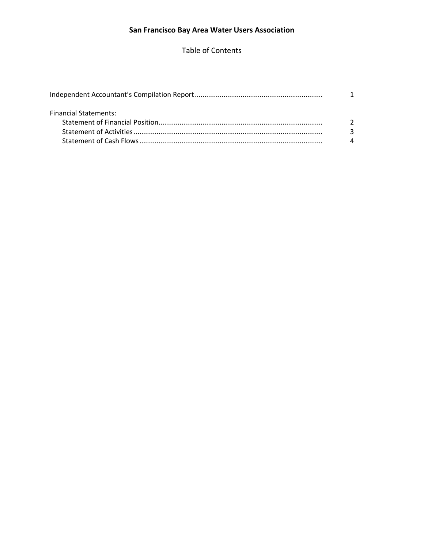Table of Contents

| <b>Financial Statements:</b> |  |
|------------------------------|--|
|                              |  |
|                              |  |
|                              |  |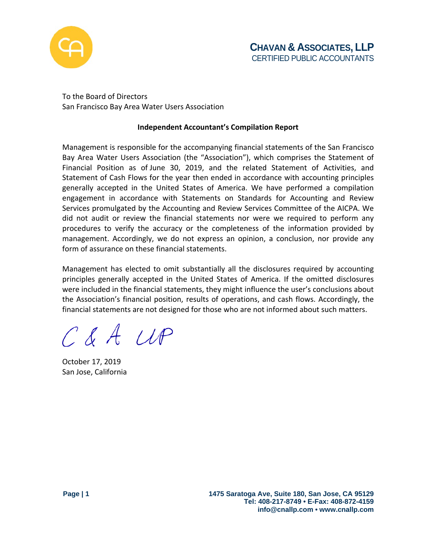

To the Board of Directors San Francisco Bay Area Water Users Association

## **Independent Accountant's Compilation Report**

Management is responsible for the accompanying financial statements of the San Francisco Bay Area Water Users Association (the "Association"), which comprises the Statement of Financial Position as of June 30, 2019, and the related Statement of Activities, and Statement of Cash Flows for the year then ended in accordance with accounting principles generally accepted in the United States of America. We have performed a compilation engagement in accordance with Statements on Standards for Accounting and Review Services promulgated by the Accounting and Review Services Committee of the AICPA. We did not audit or review the financial statements nor were we required to perform any procedures to verify the accuracy or the completeness of the information provided by management. Accordingly, we do not express an opinion, a conclusion, nor provide any form of assurance on these financial statements.

Management has elected to omit substantially all the disclosures required by accounting principles generally accepted in the United States of America. If the omitted disclosures were included in the financial statements, they might influence the user's conclusions about the Association's financial position, results of operations, and cash flows. Accordingly, the financial statements are not designed for those who are not informed about such matters.

C & A UP

October 17, 2019 San Jose, California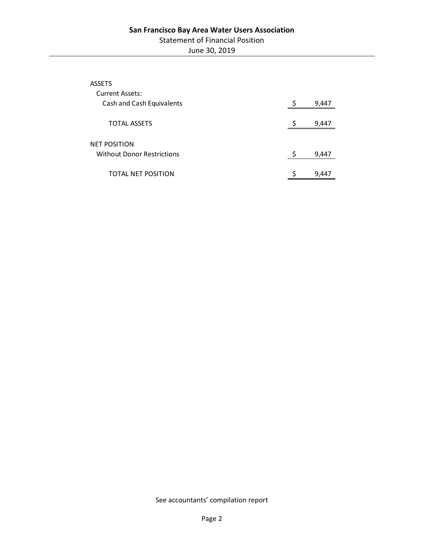| <b>ASSETS</b>                     |       |
|-----------------------------------|-------|
| <b>Current Assets:</b>            |       |
| Cash and Cash Equivalents         | 9,447 |
|                                   |       |
| <b>TOTAL ASSETS</b>               | 9,447 |
|                                   |       |
| <b>NET POSITION</b>               |       |
| <b>Without Donor Restrictions</b> | 9,447 |
|                                   |       |
| TOTAL NET POSITION                | 9,447 |

See accountants' compilation report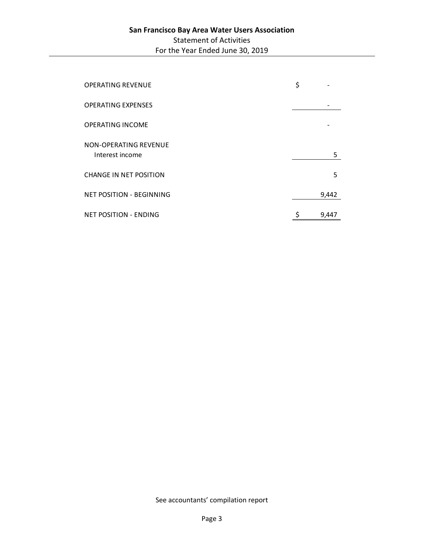| <b>OPERATING REVENUE</b>                 | \$          |
|------------------------------------------|-------------|
| <b>OPERATING EXPENSES</b>                |             |
| <b>OPERATING INCOME</b>                  |             |
| NON-OPERATING REVENUE<br>Interest income | 5           |
| <b>CHANGE IN NET POSITION</b>            | 5           |
| <b>NET POSITION - BEGINNING</b>          | 9,442       |
| <b>NET POSITION - ENDING</b>             | \$<br>9,447 |

See accountants' compilation report